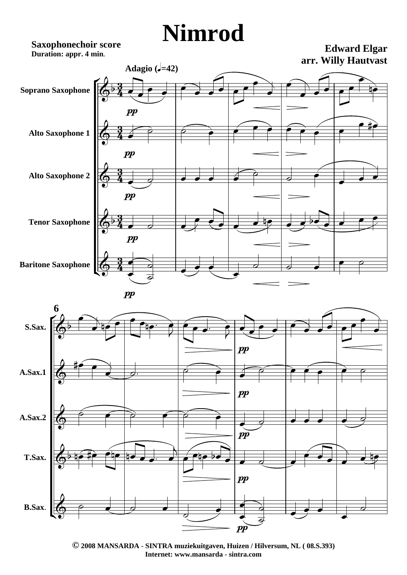## **Nimrod**

**Saxophonechoir score Duration: appr. 4 min.**

**Edward Elgar arr. Willy Hautvast**





**© 2008 MANSARDA - SINTRA muziekuitgaven, Huizen / Hilversum, NL ( 08.S.393) Internet: www.mansarda - sintra.com**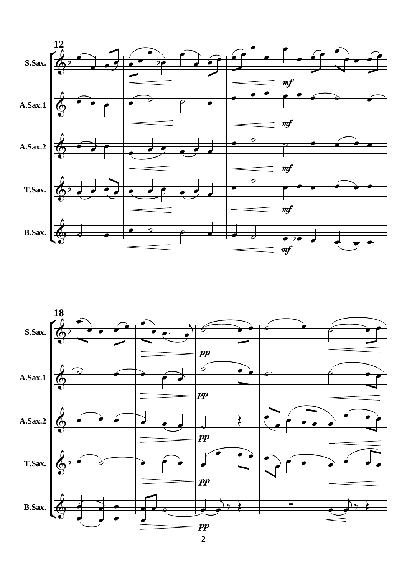



**2**